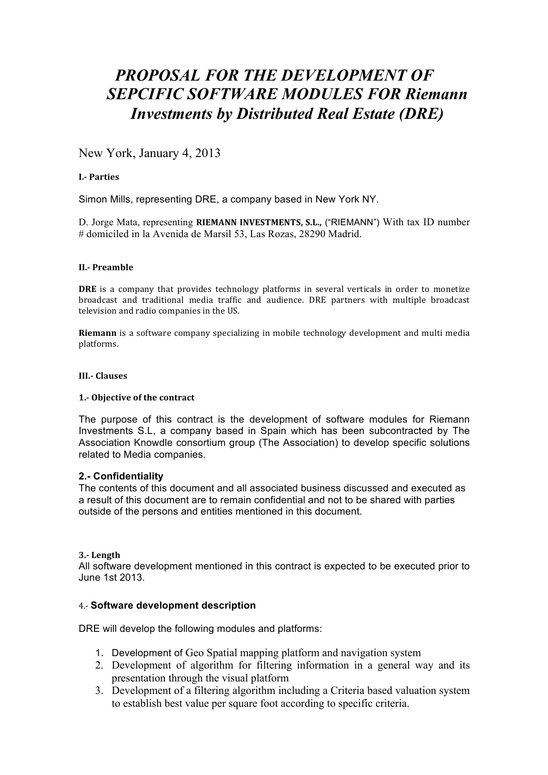# *PROPOSAL FOR THE DEVELOPMENT OF SEPCIFIC SOFTWARE MODULES FOR Riemann Investments by Distributed Real Estate (DRE)*

## New York, January 4, 2013

#### **I.\$ Parties**

Simon Mills, representing DRE, a company based in New York NY.

D. Jorge Mata, representing **RIEMANN INVESTMENTS, S.L.,** ("RIEMANN") With tax ID number # domiciled in la Avenida de Marsil 53, Las Rozas, 28290 Madrid.

#### **II.\$ Preamble**

**DRE** is a company that provides technology platforms in several verticals in order to monetize broadcast and traditional media traffic and audience. DRE partners with multiple broadcast television and radio companies in the US.

**Riemann** is a software company specializing in mobile technology development and multi media platforms.#

#### **III.\$ Clauses**

#### **1.\$ Objective of!the contract**

The purpose of this contract is the development of software modules for Riemann Investments S.L, a company based in Spain which has been subcontracted by The Association Knowdle consortium group (The Association) to develop specific solutions related to Media companies.

#### **2.- Confidentiality**

The contents of this document and all associated business discussed and executed as a result of this document are to remain confidential and not to be shared with parties outside of the persons and entities mentioned in this document.

#### **3.\$ Length**

All software development mentioned in this contract is expected to be executed prior to June 1st 2013.

#### 4.? **Software development description**

DRE will develop the following modules and platforms:

- 1. Development of Geo Spatial mapping platform and navigation system
- 2. Development of algorithm for filtering information in a general way and its presentation through the visual platform
- 3. Development of a filtering algorithm including a Criteria based valuation system to establish best value per square foot according to specific criteria.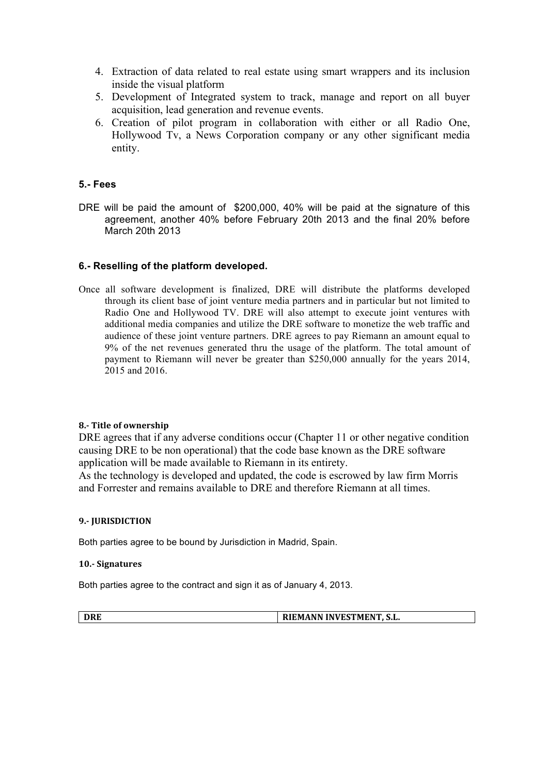- 4. Extraction of data related to real estate using smart wrappers and its inclusion inside the visual platform
- 5. Development of Integrated system to track, manage and report on all buyer acquisition, lead generation and revenue events.
- 6. Creation of pilot program in collaboration with either or all Radio One, Hollywood Tv, a News Corporation company or any other significant media entity.

## **5.- Fees**

DRE will be paid the amount of \$200,000, 40% will be paid at the signature of this agreement, another 40% before February 20th 2013 and the final 20% before March 20th 2013

## **6.- Reselling of the platform developed.**

Once all software development is finalized, DRE will distribute the platforms developed through its client base of joint venture media partners and in particular but not limited to Radio One and Hollywood TV. DRE will also attempt to execute joint ventures with additional media companies and utilize the DRE software to monetize the web traffic and audience of these joint venture partners. DRE agrees to pay Riemann an amount equal to 9% of the net revenues generated thru the usage of the platform. The total amount of payment to Riemann will never be greater than \$250,000 annually for the years 2014, 2015 and 2016.

## **8.** Title of ownership

DRE agrees that if any adverse conditions occur (Chapter 11 or other negative condition causing DRE to be non operational) that the code base known as the DRE software application will be made available to Riemann in its entirety.

As the technology is developed and updated, the code is escrowed by law firm Morris and Forrester and remains available to DRE and therefore Riemann at all times.

### **9. IURISDICTION**

Both parties agree to be bound by Jurisdiction in Madrid, Spain.

#### **10.\$ Signatures**

Both parties agree to the contract and sign it as of January 4, 2013.

|  | <b>TEMANN INVESTMENT, S.L.</b> |
|--|--------------------------------|
|--|--------------------------------|